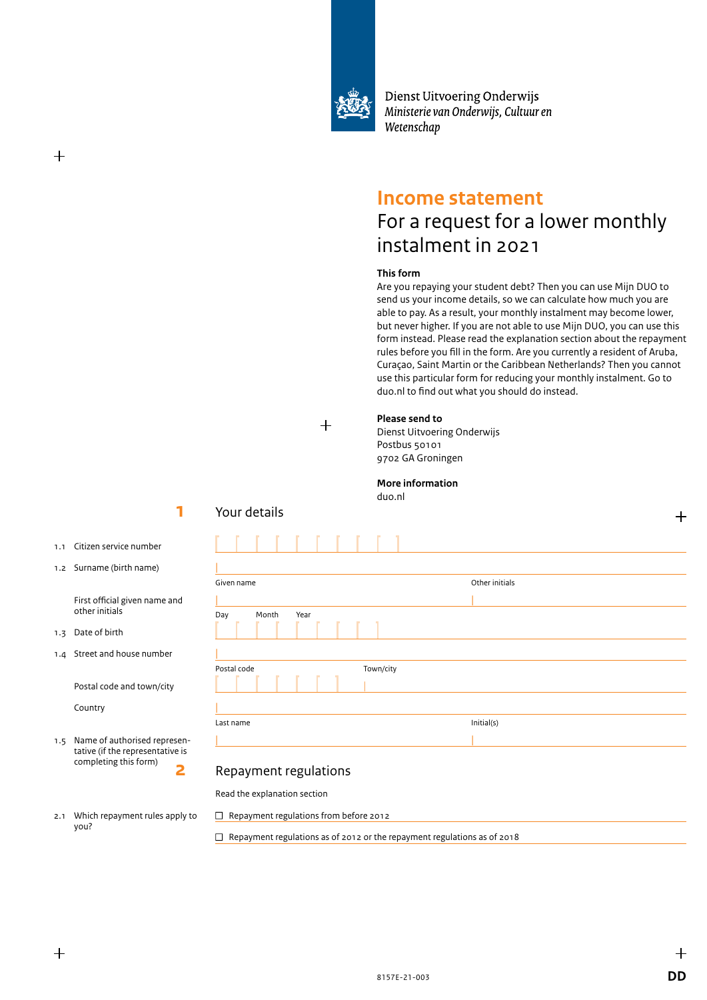

Dienst Uitvoering Onderwijs Ministerie van Onderwijs, Cultuur en Wetenschap

# **Income statement**

# For a request for a lower monthly instalment in 2021

### **This form**

Are you repaying your student debt? Then you can use Mijn DUO to send us your income details, so we can calculate how much you are able to pay. As a result, your monthly instalment may become lower, but never higher. If you are not able to use Mijn DUO, you can use this form instead. Please read the explanation section about the repayment rules before you fill in the form. Are you currently a resident of Aruba, Curaçao, Saint Martin or the Caribbean Netherlands? Then you cannot use this particular form for reducing your monthly instalment. Go to duo.nl to find out what you should do instead.

 $+$ 

### **Please send to**

Dienst Uitvoering Onderwijs Postbus 50101 9702 GA Groningen

### **More information**

duo.nl

1.1 Citizen service number

**1**

1.2 Surname (birth name)

 First official given name and other initials

1.3 Date of birth

┿

1.4 Street and house number

Postal code and town/city

Country

you?

1.5 Name of authorised representative (if the representative is completing this form) **2**

2.1 Which repayment rules apply to

# Repayment regulations

Read the explanation section

 $\Box$  Repayment regulations from before 2012

 $\Box$  Repayment regulations as of 2012 or the repayment regulations as of 2018

Your details

| Given name               | Other initials |  |
|--------------------------|----------------|--|
|                          |                |  |
| Day<br>Month<br>Year     |                |  |
| Postal code<br>Town/city |                |  |
|                          |                |  |
|                          |                |  |
| Last name                | Initial(s)     |  |
|                          |                |  |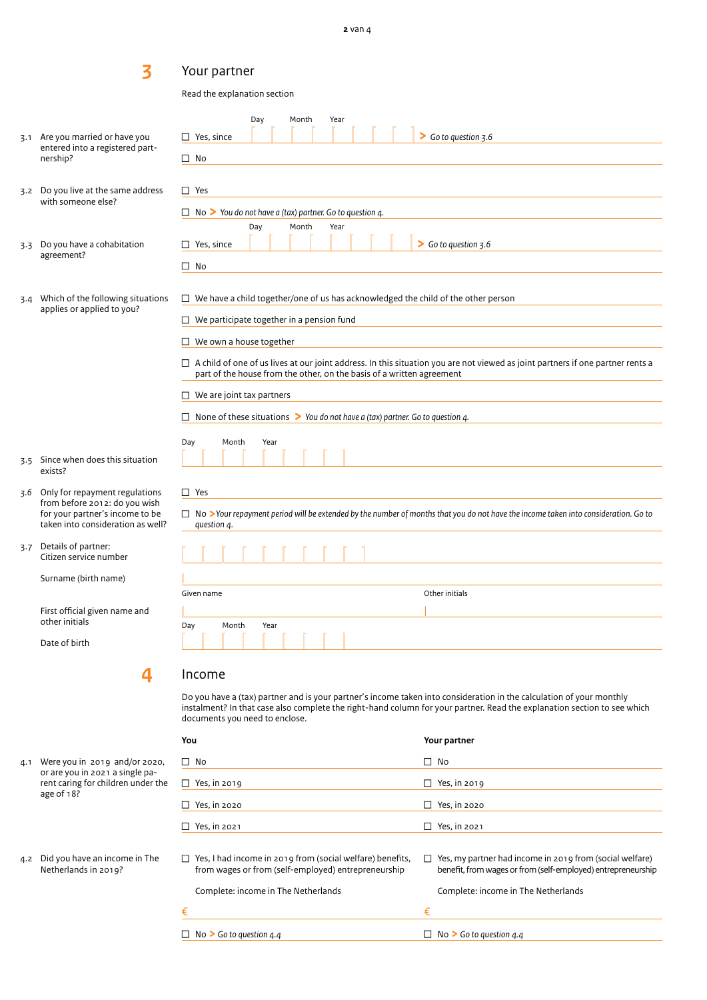# Your partner

Read the explanation section

| 3.1 | Are you married or have you                                                                           | Day<br>Month<br>Year<br>$\Box$ Yes, since                                                | $\triangleright$ Go to question 3.6                                                                                                                                                                                                              |
|-----|-------------------------------------------------------------------------------------------------------|------------------------------------------------------------------------------------------|--------------------------------------------------------------------------------------------------------------------------------------------------------------------------------------------------------------------------------------------------|
|     | entered into a registered part-<br>nership?                                                           | $\Box$ No                                                                                |                                                                                                                                                                                                                                                  |
|     | 3.2 Do you live at the same address                                                                   | $\Box$ Yes                                                                               |                                                                                                                                                                                                                                                  |
|     | with someone else?                                                                                    | $\Box$ No $\triangleright$ You do not have a (tax) partner. Go to question 4.            |                                                                                                                                                                                                                                                  |
|     |                                                                                                       | Day<br>Month<br>Year                                                                     |                                                                                                                                                                                                                                                  |
| 3.3 | Do you have a cohabitation<br>agreement?                                                              | $\Box$ Yes, since                                                                        | Go to question 3.6                                                                                                                                                                                                                               |
|     |                                                                                                       | $\square$ No                                                                             |                                                                                                                                                                                                                                                  |
| 3.4 | Which of the following situations<br>applies or applied to you?                                       | $\Box$ We have a child together/one of us has acknowledged the child of the other person |                                                                                                                                                                                                                                                  |
|     |                                                                                                       | $\Box$ We participate together in a pension fund                                         |                                                                                                                                                                                                                                                  |
|     |                                                                                                       | $\Box$ We own a house together                                                           |                                                                                                                                                                                                                                                  |
|     |                                                                                                       | part of the house from the other, on the basis of a written agreement                    | $\Box$ A child of one of us lives at our joint address. In this situation you are not viewed as joint partners if one partner rents a                                                                                                            |
|     |                                                                                                       | $\Box$ We are joint tax partners                                                         |                                                                                                                                                                                                                                                  |
|     |                                                                                                       | $\Box$ None of these situations > You do not have a (tax) partner. Go to question 4.     |                                                                                                                                                                                                                                                  |
|     | 3.5 Since when does this situation<br>exists?                                                         | Day<br>Month<br>Year                                                                     |                                                                                                                                                                                                                                                  |
| 3.6 | Only for repayment regulations                                                                        | $\Box$ Yes                                                                               |                                                                                                                                                                                                                                                  |
|     | from before 2012: do you wish<br>for your partner's income to be<br>taken into consideration as well? | question 4.                                                                              | $\Box$ No >Your repayment period will be extended by the number of months that you do not have the income taken into consideration. Go to                                                                                                        |
|     | 3.7 Details of partner:<br>Citizen service number                                                     |                                                                                          |                                                                                                                                                                                                                                                  |
|     | Surname (birth name)                                                                                  |                                                                                          |                                                                                                                                                                                                                                                  |
|     |                                                                                                       | Given name                                                                               | Other initials                                                                                                                                                                                                                                   |
|     | First official given name and<br>other initials                                                       | Month<br>Day<br>Year                                                                     |                                                                                                                                                                                                                                                  |
|     | Date of birth                                                                                         | .                                                                                        |                                                                                                                                                                                                                                                  |
|     | 4                                                                                                     | Income                                                                                   |                                                                                                                                                                                                                                                  |
|     |                                                                                                       | documents you need to enclose.                                                           | Do you have a (tax) partner and is your partner's income taken into consideration in the calculation of your monthly<br>instalment? In that case also complete the right-hand column for your partner. Read the explanation section to see which |
|     |                                                                                                       | You                                                                                      | Your partner                                                                                                                                                                                                                                     |
|     | 4.1 Were you in 2019 and/or 2020,                                                                     | $\Box$ No                                                                                | $\Box$ No                                                                                                                                                                                                                                        |
|     | or are you in 2021 a single pa-<br>rent caring for children under the                                 | $\Box$ Yes, in 2019                                                                      | $\Box$ Yes, in 2019                                                                                                                                                                                                                              |

**3** 

- 3.2 Do you live at the sam with someone else?
- 3.3 Do you have a cohabit agreement?
- 3.4 Which of the following applies or applied to y

- 3.5 Since when does this exists?
- 3.6 Only for repayment re  $from before 2012: do$ for your partner's inco taken into considerati
- 3.7 Details of partner: Citizen service numbe

age of 18?

4.2 Did you have an income in The Netherlands in 2019?

| $\Box$ Yes, in 2019                                                                                                     |   | Yes, in 2019                                                                                                             |
|-------------------------------------------------------------------------------------------------------------------------|---|--------------------------------------------------------------------------------------------------------------------------|
| $\Box$ Yes, in 2020                                                                                                     |   | Yes, in 2020                                                                                                             |
| $\Box$ Yes, in 2021                                                                                                     |   | Yes, in 2021                                                                                                             |
| $\Box$ Yes, I had income in 2019 from (social welfare) benefits,<br>from wages or from (self-employed) entrepreneurship | ⊔ | Yes, my partner had income in 2019 from (social welfare)<br>benefit, from wages or from (self-employed) entrepreneurship |
| Complete: income in The Netherlands                                                                                     |   | Complete: income in The Netherlands                                                                                      |
|                                                                                                                         | € |                                                                                                                          |
| $\Box$ No > Go to question 4.4                                                                                          |   | No $\triangleright$ Go to question 4.4                                                                                   |
|                                                                                                                         |   |                                                                                                                          |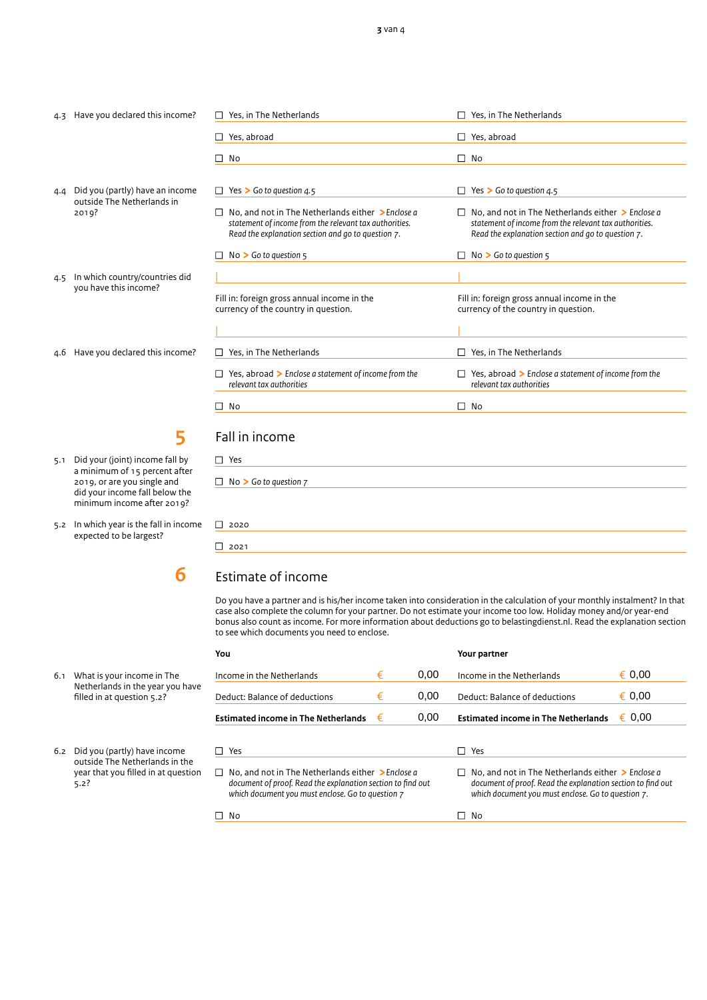#### 4.3 Have you declared this income?

- 4.4 Did you (partly) have an income outside The Netherlands in 2019?
- 4.5 In which country/countries did you have this income?
- 4.6 Have you declared this income?

**5** 

- 5.1 Did your (joint) income fall by a minimum of 15 percent after 2019, or are you single and did your income fall below the minimum income after 2019?
- 5.2 In which year is the fall in income expected to be largest?

**6**

6.1 What is your income in The Netherlands in the year you have filled in at question 5.2?

6.2 Did you (partly) have income outside The Netherlands in the year that you filled in at question  $5.2?$ 

| Yes, in The Netherlands                                                                                                                                           | Yes, in The Netherlands                                                                                                                                                           |
|-------------------------------------------------------------------------------------------------------------------------------------------------------------------|-----------------------------------------------------------------------------------------------------------------------------------------------------------------------------------|
| Yes, abroad                                                                                                                                                       | Yes, abroad                                                                                                                                                                       |
| No                                                                                                                                                                | No<br>П                                                                                                                                                                           |
| Yes $\triangleright$ Go to question 4.5                                                                                                                           | Yes $\triangleright$ Go to question 4.5<br>Ш                                                                                                                                      |
| No. and not in The Netherlands either > Enclose a<br>statement of income from the relevant tax authorities.<br>Read the explanation section and go to question 7. | No, and not in The Netherlands either $\geq$ Enclose a<br>$\perp$<br>statement of income from the relevant tax authorities.<br>Read the explanation section and go to question 7. |
| $No > Go$ to question $5$                                                                                                                                         | $No > Go$ to question $5$                                                                                                                                                         |
|                                                                                                                                                                   |                                                                                                                                                                                   |
| Fill in: foreign gross annual income in the<br>currency of the country in question.                                                                               | Fill in: foreign gross annual income in the<br>currency of the country in question.                                                                                               |
|                                                                                                                                                                   |                                                                                                                                                                                   |
| Yes, in The Netherlands                                                                                                                                           | Yes, in The Netherlands                                                                                                                                                           |
| Yes, abroad $\triangleright$ Enclose a statement of income from the<br>relevant tax authorities                                                                   | $\Box$ Yes, abroad > Enclose a statement of income from the<br>relevant tax authorities                                                                                           |
| No                                                                                                                                                                | No<br>П                                                                                                                                                                           |
| Fall in income                                                                                                                                                    |                                                                                                                                                                                   |

| $\square$ Yes                     |
|-----------------------------------|
| $\Box$ No > Go to question $\Box$ |
|                                   |
| $\Box$ 2020                       |
| $\Box$ 2021                       |

# Estimate of income

Do you have a partner and is his/her income taken into consideration in the calculation of your monthly instalment? In that case also complete the column for your partner. Do not estimate your income too low. Holiday money and/or year-end bonus also count as income. For more information about deductions go to belastingdienst.nl. Read the explanation section to see which documents you need to enclose.

| You |                                                                                                                                                                              |   |      | Your partner                                                                                                                                                                |           |
|-----|------------------------------------------------------------------------------------------------------------------------------------------------------------------------------|---|------|-----------------------------------------------------------------------------------------------------------------------------------------------------------------------------|-----------|
|     | Income in the Netherlands                                                                                                                                                    | € | 0.00 | Income in the Netherlands                                                                                                                                                   | € 0.00    |
|     | Deduct: Balance of deductions                                                                                                                                                | € | 0.00 | Deduct: Balance of deductions                                                                                                                                               | € 0,00    |
|     | <b>Estimated income in The Netherlands</b>                                                                                                                                   | € | 0.00 | <b>Estimated income in The Netherlands</b>                                                                                                                                  | 0.00<br>€ |
|     | $\Box$ Yes                                                                                                                                                                   |   |      | Yes<br>$\mathbf{I}$                                                                                                                                                         |           |
|     |                                                                                                                                                                              |   |      |                                                                                                                                                                             |           |
|     | $\Box$ No, and not in The Netherlands either > Enclose a<br>document of proof. Read the explanation section to find out<br>which document you must enclose. Go to question 7 |   |      | No, and not in The Netherlands either $\geq$ Enclose a<br>document of proof. Read the explanation section to find out<br>which document you must enclose. Go to question 7. |           |
|     | □ No                                                                                                                                                                         |   |      | No                                                                                                                                                                          |           |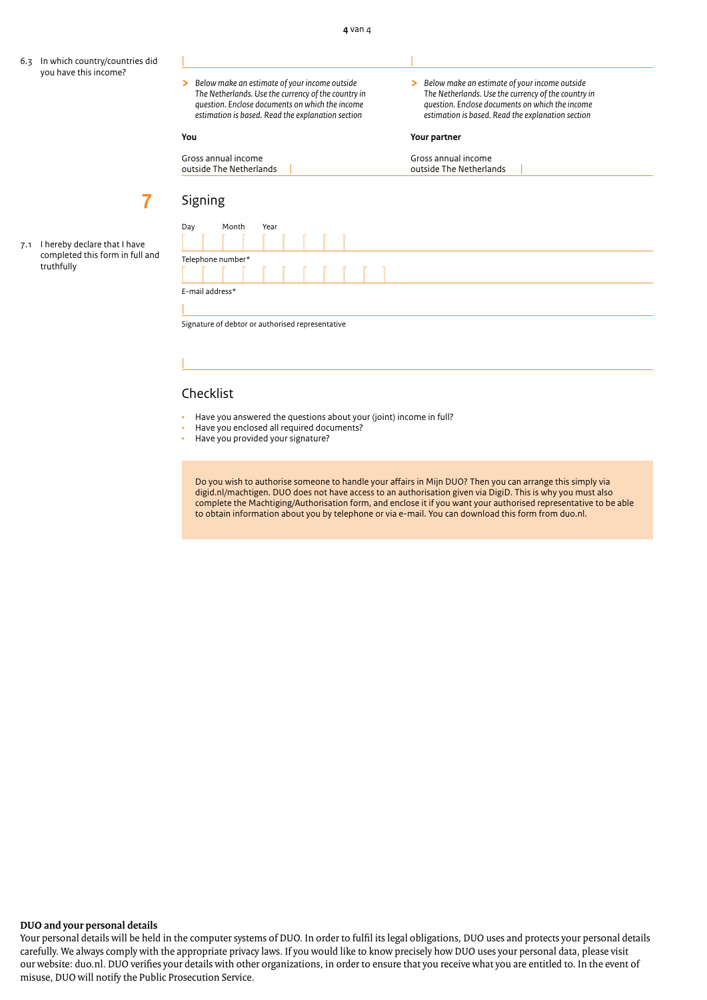- 6.3 In which country/countries did you have this income?
- *The Netherlands. Use the currency of the country in question. Enclose documents on which the income estimation is based. Read the explanation section estimation is based. Read the explanation section*

| |

**>** *Below make an estimate of your income outside* **>** *Below make an estimate of your income outside question. Enclose documents on which the income question. Enclose documents on which the income*

#### **You Your partner**

| Gross annual income     | Gross annual income     |
|-------------------------|-------------------------|
| outside The Netherlands | outside The Netherlands |
|                         |                         |

| 7.1 | I hereby declare that I have    |
|-----|---------------------------------|
|     | completed this form in full and |
|     | truthfully                      |

**7**

| <b>PISHILLS</b>   |       |      |  |  |  |
|-------------------|-------|------|--|--|--|
| Day               | Month | Year |  |  |  |
|                   |       |      |  |  |  |
| Telephone number* |       |      |  |  |  |
|                   |       |      |  |  |  |
| E-mail address*   |       |      |  |  |  |
|                   |       |      |  |  |  |

Signature of debtor or authorised representative

### Checklist

|

 $Sianina$ 

- Have you answered the questions about your (joint) income in full?
- Have you enclosed all required documents?
- Have you provided your signature?

Do you wish to authorise someone to handle your affairs in Mijn DUO? Then you can arrange this simply via digid.nl/machtigen. DUO does not have access to an authorisation given via DigiD. This is why you must also complete the Machtiging/Authorisation form, and enclose it if you want your authorised representative to be able to obtain information about you by telephone or via e-mail. You can download this form from duo.nl.

#### **DUO and your personal details**

Your personal details will be held in the computer systems of DUO. In order to fulfil its legal obligations, DUO uses and protects your personal details carefully. We always comply with the appropriate privacy laws. If you would like to know precisely how DUO uses your personal data, please visit our website: duo.nl. DUO verifies your details with other organizations, in order to ensure that you receive what you are entitled to. In the event of misuse, DUO will notify the Public Prosecution Service.